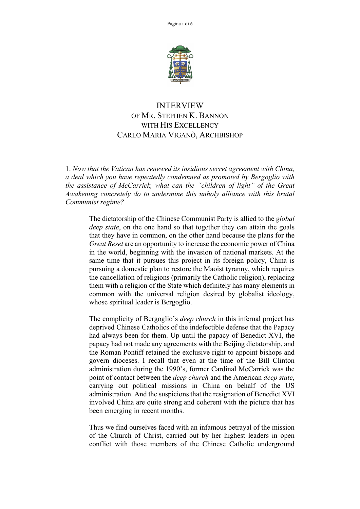

## INTERVIEW OF MR. STEPHEN K. BANNON WITH HIS EXCELLENCY CARLO MARIA VIGANÒ, ARCHBISHOP

1. *Now that the Vatican has renewed its insidious secret agreement with China, a deal which you have repeatedly condemned as promoted by Bergoglio with the assistance of McCarrick, what can the "children of light" of the Great Awakening concretely do to undermine this unholy alliance with this brutal Communist regime?*

> The dictatorship of the Chinese Communist Party is allied to the *global deep state*, on the one hand so that together they can attain the goals that they have in common, on the other hand because the plans for the *Great Reset* are an opportunity to increase the economic power of China in the world, beginning with the invasion of national markets. At the same time that it pursues this project in its foreign policy, China is pursuing a domestic plan to restore the Maoist tyranny, which requires the cancellation of religions (primarily the Catholic religion), replacing them with a religion of the State which definitely has many elements in common with the universal religion desired by globalist ideology, whose spiritual leader is Bergoglio.

> The complicity of Bergoglio's *deep church* in this infernal project has deprived Chinese Catholics of the indefectible defense that the Papacy had always been for them. Up until the papacy of Benedict XVI, the papacy had not made any agreements with the Beijing dictatorship, and the Roman Pontiff retained the exclusive right to appoint bishops and govern dioceses. I recall that even at the time of the Bill Clinton administration during the 1990's, former Cardinal McCarrick was the point of contact between the *deep church* and the American *deep state*, carrying out political missions in China on behalf of the US administration. And the suspicions that the resignation of Benedict XVI involved China are quite strong and coherent with the picture that has been emerging in recent months.

> Thus we find ourselves faced with an infamous betrayal of the mission of the Church of Christ, carried out by her highest leaders in open conflict with those members of the Chinese Catholic underground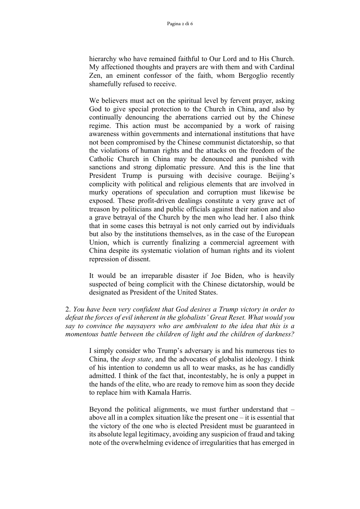hierarchy who have remained faithful to Our Lord and to His Church. My affectioned thoughts and prayers are with them and with Cardinal Zen, an eminent confessor of the faith, whom Bergoglio recently shamefully refused to receive.

We believers must act on the spiritual level by fervent prayer, asking God to give special protection to the Church in China, and also by continually denouncing the aberrations carried out by the Chinese regime. This action must be accompanied by a work of raising awareness within governments and international institutions that have not been compromised by the Chinese communist dictatorship, so that the violations of human rights and the attacks on the freedom of the Catholic Church in China may be denounced and punished with sanctions and strong diplomatic pressure. And this is the line that President Trump is pursuing with decisive courage. Beijing's complicity with political and religious elements that are involved in murky operations of speculation and corruption must likewise be exposed. These profit-driven dealings constitute a very grave act of treason by politicians and public officials against their nation and also a grave betrayal of the Church by the men who lead her. I also think that in some cases this betrayal is not only carried out by individuals but also by the institutions themselves, as in the case of the European Union, which is currently finalizing a commercial agreement with China despite its systematic violation of human rights and its violent repression of dissent.

It would be an irreparable disaster if Joe Biden, who is heavily suspected of being complicit with the Chinese dictatorship, would be designated as President of the United States.

2. *You have been very confident that God desires a Trump victory in order to defeat the forces of evil inherent in the globalists' Great Reset. What would you say to convince the naysayers who are ambivalent to the idea that this is a momentous battle between the children of light and the children of darkness?*

> I simply consider who Trump's adversary is and his numerous ties to China, the *deep state*, and the advocates of globalist ideology. I think of his intention to condemn us all to wear masks, as he has candidly admitted. I think of the fact that, incontestably, he is only a puppet in the hands of the elite, who are ready to remove him as soon they decide to replace him with Kamala Harris.

> Beyond the political alignments, we must further understand that – above all in a complex situation like the present one – it is essential that the victory of the one who is elected President must be guaranteed in its absolute legal legitimacy, avoiding any suspicion of fraud and taking note of the overwhelming evidence of irregularities that has emerged in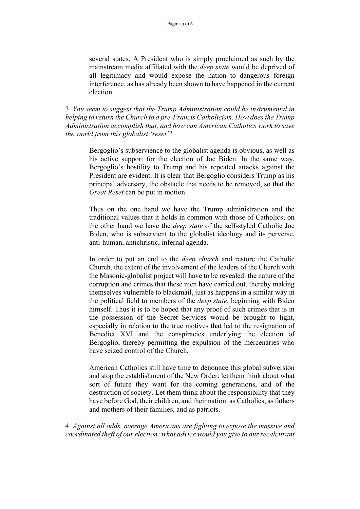several states. A President who is simply proclaimed as such by the mainstream media affiliated with the *deep state* would be deprived of all legitimacy and would expose the nation to dangerous foreign interference, as has already been shown to have happened in the current election.

3. *You seem to suggest that the Trump Administration could be instrumental in helping to return the Church to a pre-Francis Catholicism. How does the Trump Administration accomplish that, and how can American Catholics work to save the world from this globalist 'reset'?*

> Bergoglio's subservience to the globalist agenda is obvious, as well as his active support for the election of Joe Biden. In the same way, Bergoglio's hostility to Trump and his repeated attacks against the President are evident. It is clear that Bergoglio considers Trump as his principal adversary, the obstacle that needs to be removed, so that the *Great Reset* can be put in motion.

> Thus on the one hand we have the Trump administration and the traditional values that it holds in common with those of Catholics; on the other hand we have the *deep state* of the self-styled Catholic Joe Biden, who is subservient to the globalist ideology and its perverse, anti-human, antichristic, infernal agenda.

> In order to put an end to the *deep church* and restore the Catholic Church, the extent of the involvement of the leaders of the Church with the Masonic-globalist project will have to be revealed: the nature of the corruption and crimes that these men have carried out, thereby making themselves vulnerable to blackmail, just as happens in a similar way in the political field to members of the *deep state*, beginning with Biden himself. Thus it is to be hoped that any proof of such crimes that is in the possession of the Secret Services would be brought to light, especially in relation to the true motives that led to the resignation of Benedict XVI and the conspiracies underlying the election of Bergoglio, thereby permitting the expulsion of the mercenaries who have seized control of the Church.

> American Catholics still have time to denounce this global subversion and stop the establishment of the New Order: let them think about what sort of future they want for the coming generations, and of the destruction of society. Let them think about the responsibility that they have before God, their children, and their nation: as Catholics, as fathers and mothers of their families, and as patriots.

4. *Against all odds, average Americans are fighting to expose the massive and coordinated theft of our election: what advice would you give to ourrecalcitrant*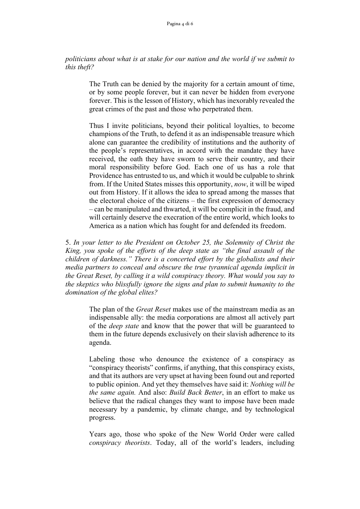*politicians about what is at stake for our nation and the world if we submit to this theft?*

> The Truth can be denied by the majority for a certain amount of time, or by some people forever, but it can never be hidden from everyone forever. This is the lesson of History, which has inexorably revealed the great crimes of the past and those who perpetrated them.

> Thus I invite politicians, beyond their political loyalties, to become champions of the Truth, to defend it as an indispensable treasure which alone can guarantee the credibility of institutions and the authority of the people's representatives, in accord with the mandate they have received, the oath they have sworn to serve their country, and their moral responsibility before God. Each one of us has a role that Providence has entrusted to us, and which it would be culpable to shrink from. If the United States misses this opportunity, *now*, it will be wiped out from History. If it allows the idea to spread among the masses that the electoral choice of the citizens – the first expression of democracy – can be manipulated and thwarted, it will be complicit in the fraud, and will certainly deserve the execration of the entire world, which looks to America as a nation which has fought for and defended its freedom.

5. *In your letter to the President on October 25, the Solemnity of Christ the King, you spoke of the efforts of the deep state as "the final assault of the children of darkness." There is a concerted effort by the globalists and their media partners to conceal and obscure the true tyrannical agenda implicit in the Great Reset, by calling it a wild conspiracy theory. What would you say to the skeptics who blissfully ignore the signs and plan to submit humanity to the domination of the global elites?*

> The plan of the *Great Reset* makes use of the mainstream media as an indispensable ally: the media corporations are almost all actively part of the *deep state* and know that the power that will be guaranteed to them in the future depends exclusively on their slavish adherence to its agenda.

> Labeling those who denounce the existence of a conspiracy as "conspiracy theorists" confirms, if anything, that this conspiracy exists, and that its authors are very upset at having been found out and reported to public opinion. And yet they themselves have said it: *Nothing will be the same again.* And also: *Build Back Better*, in an effort to make us believe that the radical changes they want to impose have been made necessary by a pandemic, by climate change, and by technological progress.

> Years ago, those who spoke of the New World Order were called *conspiracy theorists*. Today, all of the world's leaders, including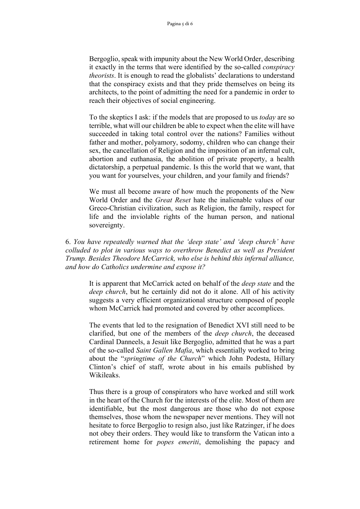Bergoglio, speak with impunity about the New World Order, describing it exactly in the terms that were identified by the so-called *conspiracy theorists*. It is enough to read the globalists' declarations to understand that the conspiracy exists and that they pride themselves on being its architects, to the point of admitting the need for a pandemic in order to reach their objectives of social engineering.

To the skeptics I ask: if the models that are proposed to us *today* are so terrible, what will our children be able to expect when the elite will have succeeded in taking total control over the nations? Families without father and mother, polyamory, sodomy, children who can change their sex, the cancellation of Religion and the imposition of an infernal cult, abortion and euthanasia, the abolition of private property, a health dictatorship, a perpetual pandemic. Is this the world that we want, that you want for yourselves, your children, and your family and friends?

We must all become aware of how much the proponents of the New World Order and the *Great Reset* hate the inalienable values of our Greco-Christian civilization, such as Religion, the family, respect for life and the inviolable rights of the human person, and national sovereignty.

6. *You have repeatedly warned that the 'deep state' and 'deep church' have colluded to plot in various ways to overthrow Benedict as well as President Trump. Besides Theodore McCarrick, who else is behind this infernal alliance, and how do Catholics undermine and expose it?*

> It is apparent that McCarrick acted on behalf of the *deep state* and the *deep church*, but he certainly did not do it alone. All of his activity suggests a very efficient organizational structure composed of people whom McCarrick had promoted and covered by other accomplices.

> The events that led to the resignation of Benedict XVI still need to be clarified, but one of the members of the *deep church*, the deceased Cardinal Danneels, a Jesuit like Bergoglio, admitted that he was a part of the so-called *Saint Gallen Mafia*, which essentially worked to bring about the "*springtime of the Church*" which John Podesta, Hillary Clinton's chief of staff, wrote about in his emails published by Wikileaks.

> Thus there is a group of conspirators who have worked and still work in the heart of the Church for the interests of the elite. Most of them are identifiable, but the most dangerous are those who do not expose themselves, those whom the newspaper never mentions. They will not hesitate to force Bergoglio to resign also, just like Ratzinger, if he does not obey their orders. They would like to transform the Vatican into a retirement home for *popes emeriti*, demolishing the papacy and